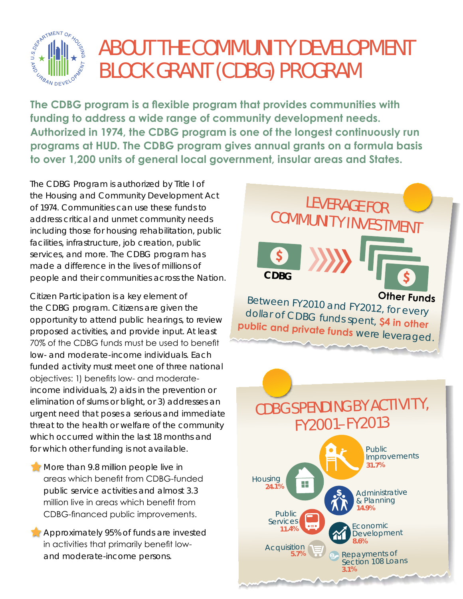

# ABOUT THE COMMUNITY DEVELOPMENT BLOCK GRANT (CDBG) PROGRAM

**The CDBG program is a flexible program that provides communities with funding to address a wide range of community development needs. Authorized in 1974, the CDBG program is one of the longest continuously run programs at HUD. The CDBG program gives annual grants on a formula basis to over 1,200 units of general local government, insular areas and States.** 

The CDBG Program is authorized by Title I of the Housing and Community Development Act of 1974. Communities can use these funds to address critical and unmet community needs including those for housing rehabilitation, public facilities, infrastructure, job creation, public services, and more. The CDBG program has made a difference in the lives of millions of people and their communities across the Nation.

Citizen Participation is a key element of the CDBG program. Citizens are given the opportunity to attend public hearings, to review proposed activities, and provide input. At least 70% of the CDBG funds must be used to benefit low- and moderate-income individuals. Each funded activity must meet one of three national objectives: 1) benefits low- and moderateincome individuals, 2) aids in the prevention or elimination of slums or blight, or 3) addresses an urgent need that poses a serious and immediate threat to the health or welfare of the community which occurred within the last 18 months and for which other funding is not available.

- **More than 9.8 million people live in** areas which benefit from CDBG-funded public service activities and almost 3.3 million live in areas which benefit from CDBG-financed public improvements.
- **Approximately 95% of funds are invested** in activities that primarily benefit lowand moderate-income persons.